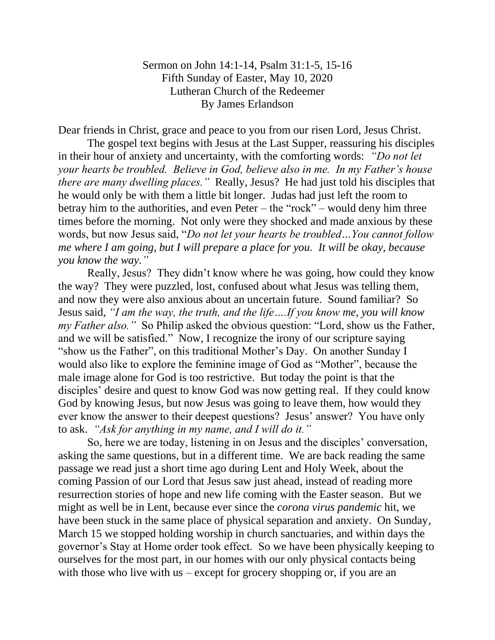## Sermon on John 14:1-14, Psalm 31:1-5, 15-16 Fifth Sunday of Easter, May 10, 2020 Lutheran Church of the Redeemer By James Erlandson

Dear friends in Christ, grace and peace to you from our risen Lord, Jesus Christ.

The gospel text begins with Jesus at the Last Supper, reassuring his disciples in their hour of anxiety and uncertainty, with the comforting words: *"Do not let your hearts be troubled. Believe in God, believe also in me. In my Father's house there are many dwelling places."* Really, Jesus? He had just told his disciples that he would only be with them a little bit longer. Judas had just left the room to betray him to the authorities, and even Peter – the "rock" – would deny him three times before the morning. Not only were they shocked and made anxious by these words, but now Jesus said, "*Do not let your hearts be troubled…You cannot follow me where I am going, but I will prepare a place for you. It will be okay, because you know the way."* 

Really, Jesus? They didn't know where he was going, how could they know the way? They were puzzled, lost, confused about what Jesus was telling them, and now they were also anxious about an uncertain future. Sound familiar? So Jesus said, *"I am the way, the truth, and the life….If you know me, you will know my Father also."* So Philip asked the obvious question: "Lord, show us the Father, and we will be satisfied." Now, I recognize the irony of our scripture saying "show us the Father", on this traditional Mother's Day. On another Sunday I would also like to explore the feminine image of God as "Mother", because the male image alone for God is too restrictive. But today the point is that the disciples' desire and quest to know God was now getting real. If they could know God by knowing Jesus, but now Jesus was going to leave them, how would they ever know the answer to their deepest questions? Jesus' answer? You have only to ask. *"Ask for anything in my name, and I will do it."*

So, here we are today, listening in on Jesus and the disciples' conversation, asking the same questions, but in a different time. We are back reading the same passage we read just a short time ago during Lent and Holy Week, about the coming Passion of our Lord that Jesus saw just ahead, instead of reading more resurrection stories of hope and new life coming with the Easter season. But we might as well be in Lent, because ever since the *corona virus pandemic* hit, we have been stuck in the same place of physical separation and anxiety. On Sunday, March 15 we stopped holding worship in church sanctuaries, and within days the governor's Stay at Home order took effect. So we have been physically keeping to ourselves for the most part, in our homes with our only physical contacts being with those who live with us – except for grocery shopping or, if you are an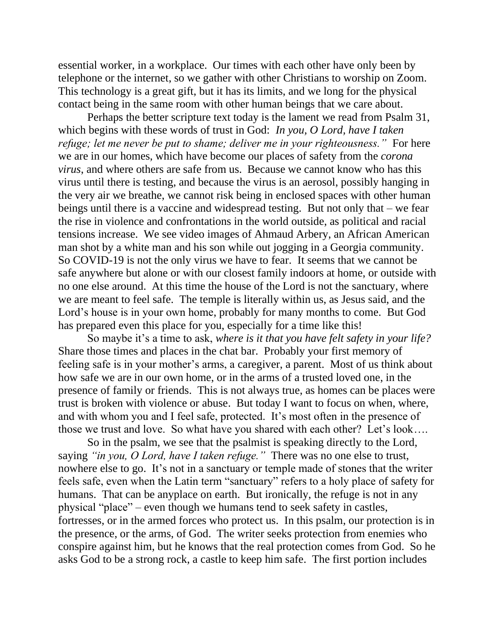essential worker, in a workplace. Our times with each other have only been by telephone or the internet, so we gather with other Christians to worship on Zoom. This technology is a great gift, but it has its limits, and we long for the physical contact being in the same room with other human beings that we care about.

Perhaps the better scripture text today is the lament we read from Psalm 31, which begins with these words of trust in God: *In you, O Lord, have I taken refuge; let me never be put to shame; deliver me in your righteousness."* For here we are in our homes, which have become our places of safety from the *corona virus*, and where others are safe from us. Because we cannot know who has this virus until there is testing, and because the virus is an aerosol, possibly hanging in the very air we breathe, we cannot risk being in enclosed spaces with other human beings until there is a vaccine and widespread testing. But not only that – we fear the rise in violence and confrontations in the world outside, as political and racial tensions increase. We see video images of Ahmaud Arbery, an African American man shot by a white man and his son while out jogging in a Georgia community. So COVID-19 is not the only virus we have to fear. It seems that we cannot be safe anywhere but alone or with our closest family indoors at home, or outside with no one else around. At this time the house of the Lord is not the sanctuary, where we are meant to feel safe. The temple is literally within us, as Jesus said, and the Lord's house is in your own home, probably for many months to come. But God has prepared even this place for you, especially for a time like this!

So maybe it's a time to ask, *where is it that you have felt safety in your life?* Share those times and places in the chat bar. Probably your first memory of feeling safe is in your mother's arms, a caregiver, a parent. Most of us think about how safe we are in our own home, or in the arms of a trusted loved one, in the presence of family or friends. This is not always true, as homes can be places were trust is broken with violence or abuse. But today I want to focus on when, where, and with whom you and I feel safe, protected. It's most often in the presence of those we trust and love. So what have you shared with each other? Let's look….

So in the psalm, we see that the psalmist is speaking directly to the Lord, saying *"in you, O Lord, have I taken refuge."* There was no one else to trust, nowhere else to go. It's not in a sanctuary or temple made of stones that the writer feels safe, even when the Latin term "sanctuary" refers to a holy place of safety for humans. That can be anyplace on earth. But ironically, the refuge is not in any physical "place" – even though we humans tend to seek safety in castles, fortresses, or in the armed forces who protect us. In this psalm, our protection is in the presence, or the arms, of God. The writer seeks protection from enemies who conspire against him, but he knows that the real protection comes from God. So he asks God to be a strong rock, a castle to keep him safe. The first portion includes